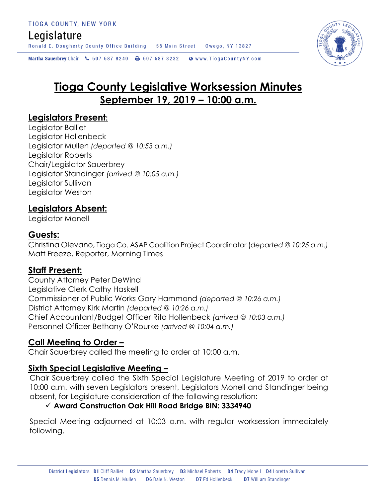# Legislature

Ronald E. Dougherty County Office Building 56 Main Street Owego, NY 13827

Martha Sauerbrey Chair & 607 687 8240 <a>B<br/>607 687 8232 <a>B</a>Www.TiogaCountyNY.com

# **Tioga County Legislative Worksession Minutes September 19, 2019 – 10:00 a.m.**

#### **Legislators Present:**

Legislator Balliet Legislator Hollenbeck Legislator Mullen *(departed @ 10:53 a.m.)* Legislator Roberts Chair/Legislator Sauerbrey Legislator Standinger *(arrived @ 10:05 a.m.)* Legislator Sullivan Legislator Weston

### **Legislators Absent:**

Legislator Monell

#### **Guests:**

Christina Olevano, Tioga Co. ASAP Coalition Project Coordinator (*departed @ 10:25 a.m.)* Matt Freeze, Reporter, Morning Times

### **Staff Present:**

County Attorney Peter DeWind Legislative Clerk Cathy Haskell Commissioner of Public Works Gary Hammond *(departed @ 10:26 a.m.)* District Attorney Kirk Martin *(departed @ 10:26 a.m.)* Chief Accountant/Budget Officer Rita Hollenbeck *(arrived @ 10:03 a.m.)* Personnel Officer Bethany O'Rourke *(arrived @ 10:04 a.m.)*

#### **Call Meeting to Order –**

Chair Sauerbrey called the meeting to order at 10:00 a.m.

### **Sixth Special Legislative Meeting –**

Chair Sauerbrey called the Sixth Special Legislature Meeting of 2019 to order at 10:00 a.m. with seven Legislators present, Legislators Monell and Standinger being absent, for Legislature consideration of the following resolution:

#### **Award Construction Oak Hill Road Bridge BIN: 3334940**

Special Meeting adjourned at 10:03 a.m. with regular worksession immediately following.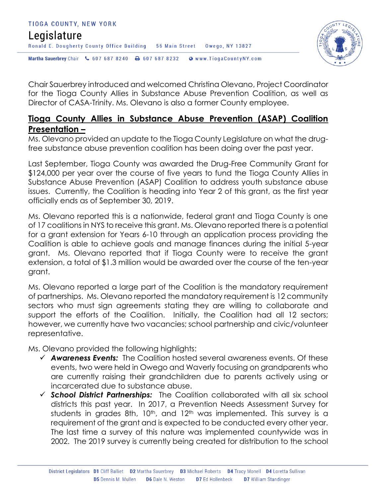



Chair Sauerbrey introduced and welcomed Christina Olevano, Project Coordinator for the Tioga County Allies in Substance Abuse Prevention Coalition, as well as Director of CASA-Trinity. Ms. Olevano is also a former County employee.

### **Tioga County Allies in Substance Abuse Prevention (ASAP) Coalition Presentation –**

Ms. Olevano provided an update to the Tioga County Legislature on what the drugfree substance abuse prevention coalition has been doing over the past year.

Last September, Tioga County was awarded the Drug-Free Community Grant for \$124,000 per year over the course of five years to fund the Tioga County Allies in Substance Abuse Prevention (ASAP) Coalition to address youth substance abuse issues. Currently, the Coalition is heading into Year 2 of this grant, as the first year officially ends as of September 30, 2019.

Ms. Olevano reported this is a nationwide, federal grant and Tioga County is one of 17 coalitions in NYS to receive this grant. Ms. Olevano reported there is a potential for a grant extension for Years 6-10 through an application process providing the Coalition is able to achieve goals and manage finances during the initial 5-year grant. Ms. Olevano reported that if Tioga County were to receive the grant extension, a total of \$1.3 million would be awarded over the course of the ten-year grant.

Ms. Olevano reported a large part of the Coalition is the mandatory requirement of partnerships. Ms. Olevano reported the mandatory requirement is 12 community sectors who must sign agreements stating they are willing to collaborate and support the efforts of the Coalition. Initially, the Coalition had all 12 sectors; however, we currently have two vacancies; school partnership and civic/volunteer representative.

Ms. Olevano provided the following highlights:

- *Awareness Events:* The Coalition hosted several awareness events. Of these events, two were held in Owego and Waverly focusing on grandparents who are currently raising their grandchildren due to parents actively using or incarcerated due to substance abuse.
- *School District Partnerships:* The Coalition collaborated with all six school districts this past year. In 2017, a Prevention Needs Assessment Survey for students in grades 8th, 10<sup>th</sup>, and 12<sup>th</sup> was implemented. This survey is a requirement of the grant and is expected to be conducted every other year. The last time a survey of this nature was implemented countywide was in 2002. The 2019 survey is currently being created for distribution to the school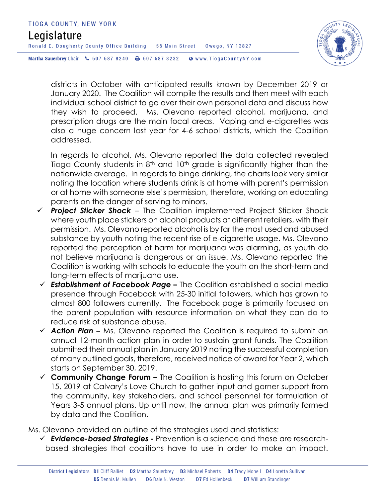

districts in October with anticipated results known by December 2019 or January 2020. The Coalition will compile the results and then meet with each individual school district to go over their own personal data and discuss how they wish to proceed. Ms. Olevano reported alcohol, marijuana, and prescription drugs are the main focal areas. Vaping and e-cigarettes was also a huge concern last year for 4-6 school districts, which the Coalition addressed.

In regards to alcohol, Ms. Olevano reported the data collected revealed Tioga County students in 8<sup>th</sup> and 10<sup>th</sup> grade is significantly higher than the nationwide average. In regards to binge drinking, the charts look very similar noting the location where students drink is at home with parent's permission or at home with someone else's permission, therefore, working on educating parents on the danger of serving to minors.

- *Project Sticker Shock* The Coalition implemented Project Sticker Shock where youth place stickers on alcohol products at different retailers, with their permission. Ms. Olevano reported alcohol is by far the most used and abused substance by youth noting the recent rise of e-cigarette usage. Ms. Olevano reported the perception of harm for marijuana was alarming, as youth do not believe marijuana is dangerous or an issue. Ms. Olevano reported the Coalition is working with schools to educate the youth on the short-term and long-term effects of marijuana use.
- *Establishment of Facebook Page –* The Coalition established a social media presence through Facebook with 25-30 initial followers, which has grown to almost 800 followers currently. The Facebook page is primarily focused on the parent population with resource information on what they can do to reduce risk of substance abuse.
- *Action Plan –* Ms. Olevano reported the Coalition is required to submit an annual 12-month action plan in order to sustain grant funds. The Coalition submitted their annual plan in January 2019 noting the successful completion of many outlined goals, therefore, received notice of award for Year 2, which starts on September 30, 2019.
- **Community Change Forum –** The Coalition is hosting this forum on October 15, 2019 at Calvary's Love Church to gather input and garner support from the community, key stakeholders, and school personnel for formulation of Years 3-5 annual plans. Up until now, the annual plan was primarily formed by data and the Coalition.

Ms. Olevano provided an outline of the strategies used and statistics:

 *Evidence-based Strategies -* Prevention is a science and these are researchbased strategies that coalitions have to use in order to make an impact.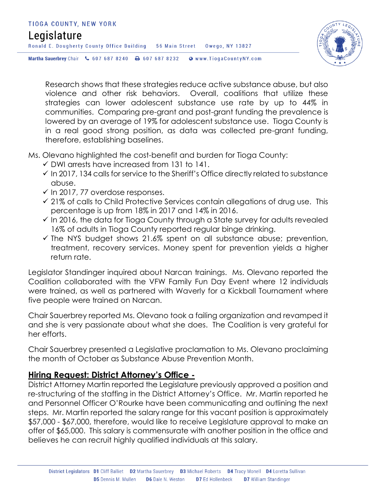# TIOGA COUNTY, NEW YORK Legislature Ronald E. Dougherty County Office Building 56 Main Street Owego, NY 13827 Martha Sauerbrey Chair & 607 687 8240 <a>B<br/>607 687 8232 <a>B</a>Www.TiogaCountyNY.com



Research shows that these strategies reduce active substance abuse, but also violence and other risk behaviors. Overall, coalitions that utilize these strategies can lower adolescent substance use rate by up to 44% in communities. Comparing pre-grant and post-grant funding the prevalence is lowered by an average of 19% for adolescent substance use. Tioga County is in a real good strong position, as data was collected pre-grant funding, therefore, establishing baselines.

#### Ms. Olevano highlighted the cost-benefit and burden for Tioga County:

- $\checkmark$  DWI arrests have increased from 131 to 141.
- $\checkmark$  In 2017, 134 calls for service to the Sheriff's Office directly related to substance abuse.
- $\checkmark$  In 2017, 77 overdose responses.
- $\checkmark$  21% of calls to Child Protective Services contain allegations of drug use. This percentage is up from 18% in 2017 and 14% in 2016.
- $\checkmark$  In 2016, the data for Tioga County through a State survey for adults revealed 16% of adults in Tioga County reported regular binge drinking.
- $\checkmark$  The NYS budget shows 21.6% spent on all substance abuse; prevention, treatment, recovery services. Money spent for prevention yields a higher return rate.

Legislator Standinger inquired about Narcan trainings. Ms. Olevano reported the Coalition collaborated with the VFW Family Fun Day Event where 12 individuals were trained, as well as partnered with Waverly for a Kickball Tournament where five people were trained on Narcan.

Chair Sauerbrey reported Ms. Olevano took a failing organization and revamped it and she is very passionate about what she does. The Coalition is very grateful for her efforts.

Chair Sauerbrey presented a Legislative proclamation to Ms. Olevano proclaiming the month of October as Substance Abuse Prevention Month.

### **Hiring Request: District Attorney's Office -**

District Attorney Martin reported the Legislature previously approved a position and re-structuring of the staffing in the District Attorney's Office. Mr. Martin reported he and Personnel Officer O'Rourke have been communicating and outlining the next steps. Mr. Martin reported the salary range for this vacant position is approximately \$57,000 - \$67,000, therefore, would like to receive Legislature approval to make an offer of \$65,000. This salary is commensurate with another position in the office and believes he can recruit highly qualified individuals at this salary.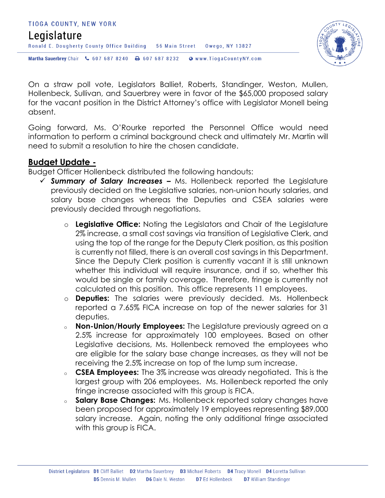



On a straw poll vote, Legislators Balliet, Roberts, Standinger, Weston, Mullen, Hollenbeck, Sullivan, and Sauerbrey were in favor of the \$65,000 proposed salary for the vacant position in the District Attorney's office with Legislator Monell being absent.

Going forward, Ms. O'Rourke reported the Personnel Office would need information to perform a criminal background check and ultimately Mr. Martin will need to submit a resolution to hire the chosen candidate.

#### **Budget Update -**

Budget Officer Hollenbeck distributed the following handouts:

- *Summary of Salary Increases –* Ms. Hollenbeck reported the Legislature previously decided on the Legislative salaries, non-union hourly salaries, and salary base changes whereas the Deputies and CSEA salaries were previously decided through negotiations.
	- o **Legislative Office:** Noting the Legislators and Chair of the Legislature 2% increase, a small cost savings via transition of Legislative Clerk, and using the top of the range for the Deputy Clerk position, as this position is currently not filled, there is an overall cost savings in this Department. Since the Deputy Clerk position is currently vacant it is still unknown whether this individual will require insurance, and if so, whether this would be single or family coverage. Therefore, fringe is currently not calculated on this position. This office represents 11 employees.
	- o **Deputies:** The salaries were previously decided. Ms. Hollenbeck reported a 7.65% FICA increase on top of the newer salaries for 31 deputies.
	- <sup>o</sup> **Non-Union/Hourly Employees:** The Legislature previously agreed on a 2.5% increase for approximately 100 employees. Based on other Legislative decisions, Ms. Hollenbeck removed the employees who are eligible for the salary base change increases, as they will not be receiving the 2.5% increase on top of the lump sum increase.
	- <sup>o</sup> **CSEA Employees:** The 3% increase was already negotiated. This is the largest group with 206 employees. Ms. Hollenbeck reported the only fringe increase associated with this group is FICA.
	- <sup>o</sup> **Salary Base Changes:** Ms. Hollenbeck reported salary changes have been proposed for approximately 19 employees representing \$89,000 salary increase. Again, noting the only additional fringe associated with this group is FICA.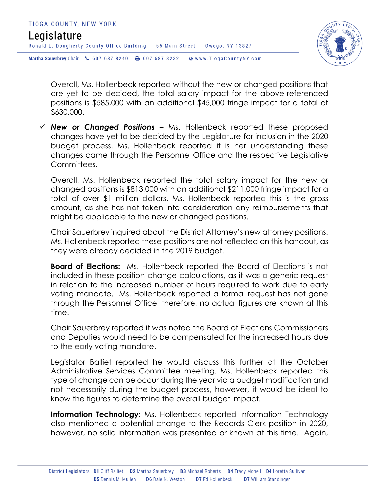

Overall, Ms. Hollenbeck reported without the new or changed positions that are yet to be decided, the total salary impact for the above-referenced positions is \$585,000 with an additional \$45,000 fringe impact for a total of \$630,000.

 *New or Changed Positions –* Ms. Hollenbeck reported these proposed changes have yet to be decided by the Legislature for inclusion in the 2020 budget process. Ms. Hollenbeck reported it is her understanding these changes came through the Personnel Office and the respective Legislative Committees.

Overall, Ms. Hollenbeck reported the total salary impact for the new or changed positions is \$813,000 with an additional \$211,000 fringe impact for a total of over \$1 million dollars. Ms. Hollenbeck reported this is the gross amount, as she has not taken into consideration any reimbursements that might be applicable to the new or changed positions.

Chair Sauerbrey inquired about the District Attorney's new attorney positions. Ms. Hollenbeck reported these positions are not reflected on this handout, as they were already decided in the 2019 budget.

**Board of Elections:** Ms. Hollenbeck reported the Board of Elections is not included in these position change calculations, as it was a generic request in relation to the increased number of hours required to work due to early voting mandate. Ms. Hollenbeck reported a formal request has not gone through the Personnel Office, therefore, no actual figures are known at this time.

Chair Sauerbrey reported it was noted the Board of Elections Commissioners and Deputies would need to be compensated for the increased hours due to the early voting mandate.

Legislator Balliet reported he would discuss this further at the October Administrative Services Committee meeting. Ms. Hollenbeck reported this type of change can be occur during the year via a budget modification and not necessarily during the budget process, however, it would be ideal to know the figures to determine the overall budget impact.

**Information Technology:** Ms. Hollenbeck reported Information Technology also mentioned a potential change to the Records Clerk position in 2020, however, no solid information was presented or known at this time. Again,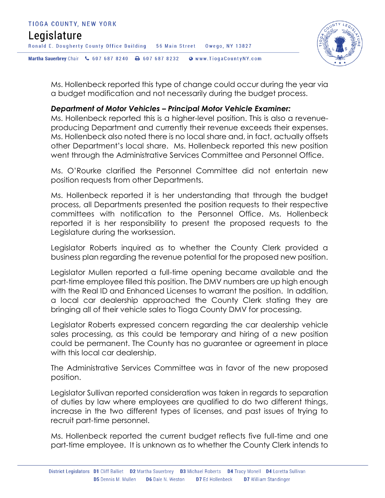

Ms. Hollenbeck reported this type of change could occur during the year via a budget modification and not necessarily during the budget process.

#### *Department of Motor Vehicles – Principal Motor Vehicle Examiner:*

Ms. Hollenbeck reported this is a higher-level position. This is also a revenueproducing Department and currently their revenue exceeds their expenses. Ms. Hollenbeck also noted there is no local share and, in fact, actually offsets other Department's local share. Ms. Hollenbeck reported this new position went through the Administrative Services Committee and Personnel Office.

Ms. O'Rourke clarified the Personnel Committee did not entertain new position requests from other Departments.

Ms. Hollenbeck reported it is her understanding that through the budget process, all Departments presented the position requests to their respective committees with notification to the Personnel Office. Ms. Hollenbeck reported it is her responsibility to present the proposed requests to the Legislature during the worksession.

Legislator Roberts inquired as to whether the County Clerk provided a business plan regarding the revenue potential for the proposed new position.

Legislator Mullen reported a full-time opening became available and the part-time employee filled this position. The DMV numbers are up high enough with the Real ID and Enhanced Licenses to warrant the position. In addition, a local car dealership approached the County Clerk stating they are bringing all of their vehicle sales to Tioga County DMV for processing.

Legislator Roberts expressed concern regarding the car dealership vehicle sales processing, as this could be temporary and hiring of a new position could be permanent. The County has no guarantee or agreement in place with this local car dealership.

The Administrative Services Committee was in favor of the new proposed position.

Legislator Sullivan reported consideration was taken in regards to separation of duties by law where employees are qualified to do two different things, increase in the two different types of licenses, and past issues of trying to recruit part-time personnel.

Ms. Hollenbeck reported the current budget reflects five full-time and one part-time employee. It is unknown as to whether the County Clerk intends to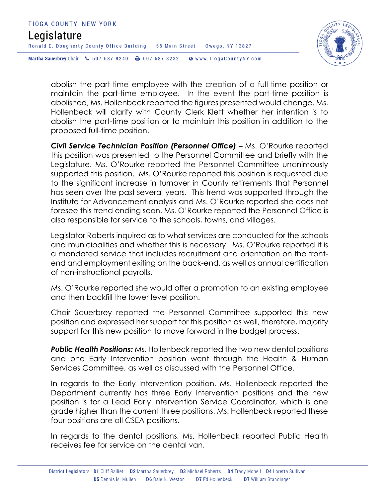



abolish the part-time employee with the creation of a full-time position or maintain the part-time employee. In the event the part-time position is abolished, Ms. Hollenbeck reported the figures presented would change. Ms. Hollenbeck will clarify with County Clerk Klett whether her intention is to abolish the part-time position or to maintain this position in addition to the proposed full-time position.

**Civil Service Technician Position (Personnel Office) – Ms. O'Rourke reported** this position was presented to the Personnel Committee and briefly with the Legislature. Ms. O'Rourke reported the Personnel Committee unanimously supported this position. Ms. O'Rourke reported this position is requested due to the significant increase in turnover in County retirements that Personnel has seen over the past several years. This trend was supported through the Institute for Advancement analysis and Ms. O'Rourke reported she does not foresee this trend ending soon. Ms. O'Rourke reported the Personnel Office is also responsible for service to the schools, towns, and villages.

Legislator Roberts inquired as to what services are conducted for the schools and municipalities and whether this is necessary. Ms. O'Rourke reported it is a mandated service that includes recruitment and orientation on the frontend and employment exiting on the back-end, as well as annual certification of non-instructional payrolls.

Ms. O'Rourke reported she would offer a promotion to an existing employee and then backfill the lower level position.

Chair Sauerbrey reported the Personnel Committee supported this new position and expressed her support for this position as well, therefore, majority support for this new position to move forward in the budget process.

*Public Health Positions:* Ms. Hollenbeck reported the two new dental positions and one Early Intervention position went through the Health & Human Services Committee, as well as discussed with the Personnel Office.

In regards to the Early Intervention position, Ms. Hollenbeck reported the Department currently has three Early Intervention positions and the new position is for a Lead Early Intervention Service Coordinator, which is one grade higher than the current three positions. Ms. Hollenbeck reported these four positions are all CSEA positions.

In regards to the dental positions, Ms. Hollenbeck reported Public Health receives fee for service on the dental van.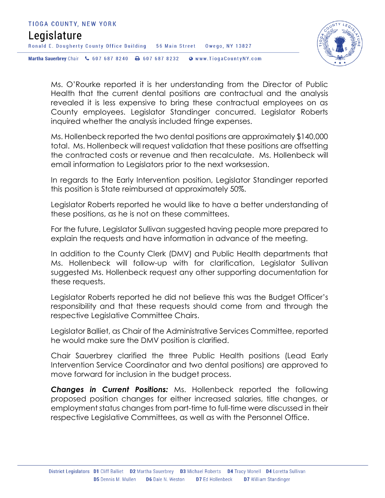

Ms. O'Rourke reported it is her understanding from the Director of Public Health that the current dental positions are contractual and the analysis revealed it is less expensive to bring these contractual employees on as County employees. Legislator Standinger concurred. Legislator Roberts inquired whether the analysis included fringe expenses.

Ms. Hollenbeck reported the two dental positions are approximately \$140,000 total. Ms. Hollenbeck will request validation that these positions are offsetting the contracted costs or revenue and then recalculate. Ms. Hollenbeck will email information to Legislators prior to the next worksession.

In regards to the Early Intervention position, Legislator Standinger reported this position is State reimbursed at approximately 50%.

Legislator Roberts reported he would like to have a better understanding of these positions, as he is not on these committees.

For the future, Legislator Sullivan suggested having people more prepared to explain the requests and have information in advance of the meeting.

In addition to the County Clerk (DMV) and Public Health departments that Ms. Hollenbeck will follow-up with for clarification, Legislator Sullivan suggested Ms. Hollenbeck request any other supporting documentation for these requests.

Legislator Roberts reported he did not believe this was the Budget Officer's responsibility and that these requests should come from and through the respective Legislative Committee Chairs.

Legislator Balliet, as Chair of the Administrative Services Committee, reported he would make sure the DMV position is clarified.

Chair Sauerbrey clarified the three Public Health positions (Lead Early Intervention Service Coordinator and two dental positions) are approved to move forward for inclusion in the budget process.

*Changes in Current Positions:* Ms. Hollenbeck reported the following proposed position changes for either increased salaries, title changes, or employment status changes from part-time to full-time were discussed in their respective Legislative Committees, as well as with the Personnel Office.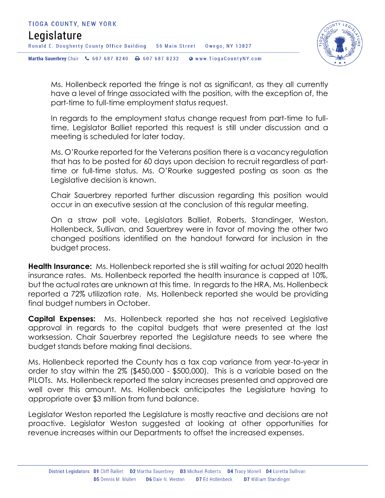

Ms. Hollenbeck reported the fringe is not as significant, as they all currently have a level of fringe associated with the position, with the exception of, the part-time to full-time employment status request.

In regards to the employment status change request from part-time to fulltime, Legislator Balliet reported this request is still under discussion and a meeting is scheduled for later today.

Ms. O'Rourke reported for the Veterans position there is a vacancy regulation that has to be posted for 60 days upon decision to recruit regardless of parttime or full-time status. Ms. O'Rourke suggested posting as soon as the Legislative decision is known.

Chair Sauerbrey reported further discussion regarding this position would occur in an executive session at the conclusion of this regular meeting.

On a straw poll vote, Legislators Balliet, Roberts, Standinger, Weston, Hollenbeck, Sullivan, and Sauerbrey were in favor of moving the other two changed positions identified on the handout forward for inclusion in the budget process.

**Health Insurance:** Ms. Hollenbeck reported she is still waiting for actual 2020 health insurance rates. Ms. Hollenbeck reported the health insurance is capped at 10%, but the actual rates are unknown at this time. In regards to the HRA, Ms. Hollenbeck reported a 72% utilization rate. Ms. Hollenbeck reported she would be providing final budget numbers in October.

**Capital Expenses:** Ms. Hollenbeck reported she has not received Legislative approval in regards to the capital budgets that were presented at the last worksession. Chair Sauerbrey reported the Legislature needs to see where the budget stands before making final decisions.

Ms. Hollenbeck reported the County has a tax cap variance from year-to-year in order to stay within the 2% (\$450,000 - \$500,000). This is a variable based on the PILOTs. Ms. Hollenbeck reported the salary increases presented and approved are well over this amount. Ms. Hollenbeck anticipates the Legislature having to appropriate over \$3 million from fund balance.

Legislator Weston reported the Legislature is mostly reactive and decisions are not proactive. Legislator Weston suggested at looking at other opportunities for revenue increases within our Departments to offset the increased expenses.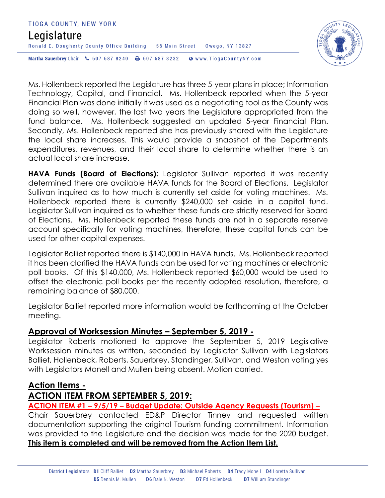# TIOGA COUNTY, NEW YORK Legislature Ronald E. Dougherty County Office Building 56 Main Street 0wego, NY 13827 Martha Sauerbrey Chair & 607 687 8240 <a>B<br/>607 687 8232 <a>B</a>Www.TiogaCountyNY.com



Ms. Hollenbeck reported the Legislature has three 5-year plans in place; Information Technology, Capital, and Financial. Ms. Hollenbeck reported when the 5-year Financial Plan was done initially it was used as a negotiating tool as the County was doing so well, however, the last two years the Legislature appropriated from the fund balance. Ms. Hollenbeck suggested an updated 5-year Financial Plan. Secondly, Ms. Hollenbeck reported she has previously shared with the Legislature the local share increases. This would provide a snapshot of the Departments expenditures, revenues, and their local share to determine whether there is an actual local share increase.

**HAVA Funds (Board of Elections):** Legislator Sullivan reported it was recently determined there are available HAVA funds for the Board of Elections. Legislator Sullivan inquired as to how much is currently set aside for voting machines. Ms. Hollenbeck reported there is currently \$240,000 set aside in a capital fund. Legislator Sullivan inquired as to whether these funds are strictly reserved for Board of Elections. Ms. Hollenbeck reported these funds are not in a separate reserve account specifically for voting machines, therefore, these capital funds can be used for other capital expenses.

Legislator Balliet reported there is \$140,000 in HAVA funds. Ms. Hollenbeck reported it has been clarified the HAVA funds can be used for voting machines or electronic poll books. Of this \$140,000, Ms. Hollenbeck reported \$60,000 would be used to offset the electronic poll books per the recently adopted resolution, therefore, a remaining balance of \$80,000.

Legislator Balliet reported more information would be forthcoming at the October meeting.

#### **Approval of Worksession Minutes – September 5, 2019 -**

Legislator Roberts motioned to approve the September 5, 2019 Legislative Worksession minutes as written, seconded by Legislator Sullivan with Legislators Balliet, Hollenbeck, Roberts, Sauerbrey, Standinger, Sullivan, and Weston voting yes with Legislators Monell and Mullen being absent. Motion carried.

### **Action Items -**

### **ACTION ITEM FROM SEPTEMBER 5, 2019:**

**ACTION ITEM #1 – 9/5/19 – Budget Update: Outside Agency Requests (Tourism) –**

Chair Sauerbrey contacted ED&P Director Tinney and requested written documentation supporting the original Tourism funding commitment. Information was provided to the Legislature and the decision was made for the 2020 budget. **This item is completed and will be removed from the Action Item List.**